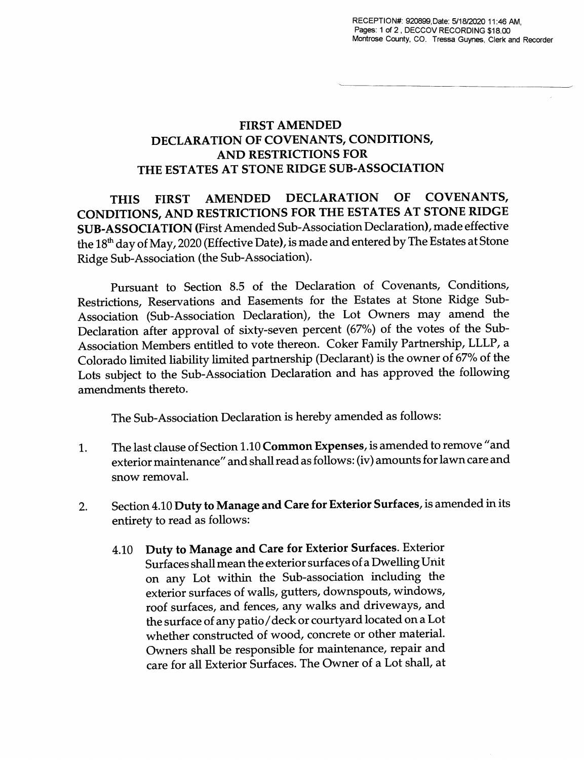## FIRST AMENDED DECLARATION OF COVENANTS, CONDITIONS, AND RESTRICTIONS FOR THE ESTATES AT STONE RIDGE SUB-ASSOCIATION

THIS FIRST AMENDED DECLARATION OF COVENANTS, CONDITIONS, AND RESTRICTIONS FOR THE ESTATES AT STONE RIDGE SUB-ASSOCIATION (First Amended Sub-Association Declaration), made effective the 18<sup>th</sup> day of May, 2020 (Effective Date), is made and entered by The Estates at Stone Ridge Sub-Association (the Sub-Association).

Pursuant to Section 8.5 of the Declaration of Covenants, Conditions, Restrictions, Reservations and Easements for the Estates at Stone Ridge Sub-Association (Sub-Association Declaration), the Lot Owners may amend the Declaration after approval of sixty-seven percent (67%) of the votes of the Sub-Association Members entitled to vote thereon. Coker Family Partnership, LLLP, a Colorado limited liability limited partnership (Declarant) is the owner of 67% of the Lots subject to the Sub-Association Declaration and has approved the following amendments thereto.

The Sub-Association Declaration is hereby amended as follows:

- 1. The last clause of Section 1.10 Common Expenses, is amended to remove "and exterior maintenance" and shall read as follows: (iv) amounts for lawn care and snow removal.
- 2. Section 4.10 Duty to Manage and Care for Exterior Surfaces, is amended in its entirety to read as follows:
	- 4.10 Duty to Manage and Care for Exterior Surfaces. Exterior Surfaces shall mean the exterior surfaces of a Dwelling Unit on any Lot within the Sub-association including the exterior surfaces of walls, gutters, downspouts, windows, roof surfaces, and fences, any walks and driveways, and the surface of any patio/deck or courtyard located on a Lot whether constructed of wood, concrete or other material. Owners shall be responsible for maintenance, repair and care for all Exterior Surfaces. The Owner of a Lot shall, at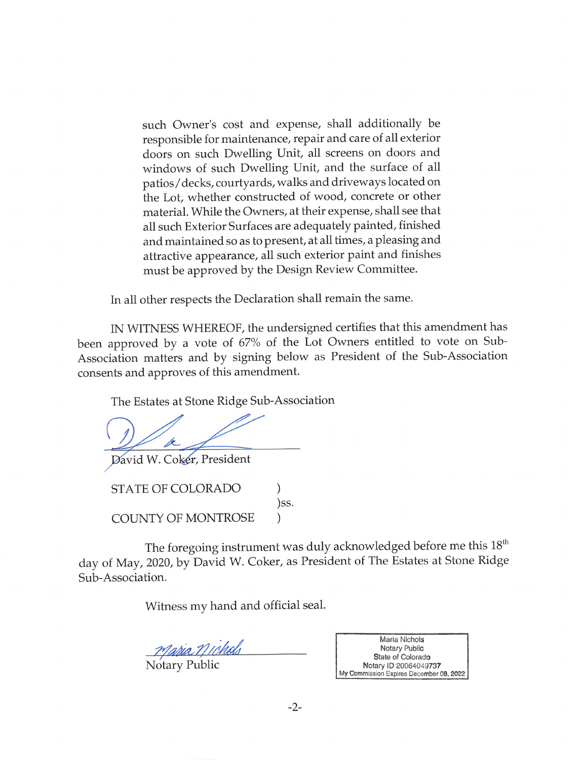such Owner's cost and expense, shall additionally be responsible for maintenance, repair and care of all exterior doors on such Dwelling Unit, all screens on doors and windows of such Dwelling Unit, and the surface of all patios/decks, courtyards, walks and driveways located on the Lot, whether constructed of wood, concrete or other material. While the Owners, at their expense, shall see that all such Exterior Surfaces are adequately painted, finished and maintained so as to present, at all times, a pleasing and attractive appearance, all such exterior paint and finishes must be approved by the Design Review Committee.

In all other respects the Declaration shall remain the same.

IN WITNESS WHEREOF, the undersigned certifies that this amendment has been approved by a vote of 67% of the Lot Owners entitled to vote on Sub-Association matters and by signing below as President of the Sub-Association consents and approves of this amendment.

The Estates at Stone Ridge Sub-Association

David W. Coker, President

STATE OF COLORADO )SS. **COUNTY OF MONTROSE** 

The foregoing instrument was duly acknowledged before me this 18<sup>th</sup> day of May, 2020, by David W. Coker, as President of The Estates at Stone Ridge Sub-Association.

Witness my hand and official seal.

Notary Public

Maria Nichols Notary Public State of Colorado Notary ID 20064049737 My Commission Expires December 08, 2022